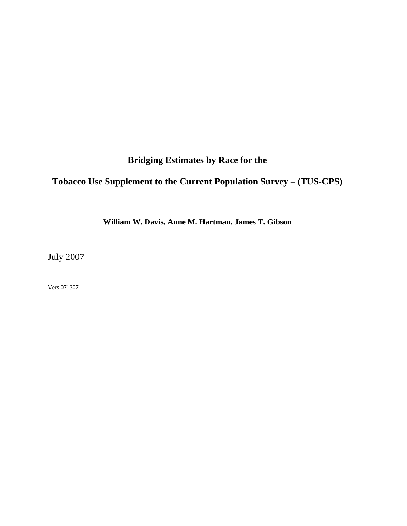**Bridging Estimates by Race for the** 

## **Tobacco Use Supplement to the Current Population Survey – (TUS-CPS)**

**William W. Davis, Anne M. Hartman, James T. Gibson** 

July 2007

Vers 071307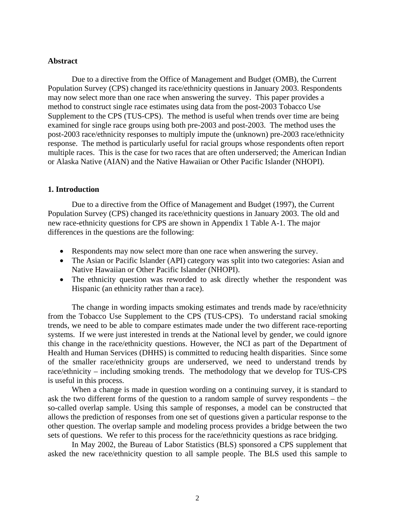### **Abstract**

Due to a directive from the Office of Management and Budget (OMB), the Current Population Survey (CPS) changed its race/ethnicity questions in January 2003. Respondents may now select more than one race when answering the survey. This paper provides a method to construct single race estimates using data from the post-2003 Tobacco Use Supplement to the CPS (TUS-CPS). The method is useful when trends over time are being examined for single race groups using both pre-2003 and post-2003. The method uses the post-2003 race/ethnicity responses to multiply impute the (unknown) pre-2003 race/ethnicity response. The method is particularly useful for racial groups whose respondents often report multiple races. This is the case for two races that are often underserved; the American Indian or Alaska Native (AIAN) and the Native Hawaiian or Other Pacific Islander (NHOPI).

### **1. Introduction**

Due to a directive from the Office of Management and Budget (1997), the Current Population Survey (CPS) changed its race/ethnicity questions in January 2003. The old and new race-ethnicity questions for CPS are shown in Appendix 1 Table A-1. The major differences in the questions are the following:

- Respondents may now select more than one race when answering the survey.
- The Asian or Pacific Islander (API) category was split into two categories: Asian and Native Hawaiian or Other Pacific Islander (NHOPI).
- The ethnicity question was reworded to ask directly whether the respondent was Hispanic (an ethnicity rather than a race).

The change in wording impacts smoking estimates and trends made by race/ethnicity from the Tobacco Use Supplement to the CPS (TUS-CPS). To understand racial smoking trends, we need to be able to compare estimates made under the two different race-reporting systems. If we were just interested in trends at the National level by gender, we could ignore this change in the race/ethnicity questions. However, the NCI as part of the Department of Health and Human Services (DHHS) is committed to reducing health disparities. Since some of the smaller race/ethnicity groups are underserved, we need to understand trends by race/ethnicity – including smoking trends. The methodology that we develop for TUS-CPS is useful in this process.

When a change is made in question wording on a continuing survey, it is standard to ask the two different forms of the question to a random sample of survey respondents – the so-called overlap sample. Using this sample of responses, a model can be constructed that allows the prediction of responses from one set of questions given a particular response to the other question. The overlap sample and modeling process provides a bridge between the two sets of questions. We refer to this process for the race/ethnicity questions as race bridging.

In May 2002, the Bureau of Labor Statistics (BLS) sponsored a CPS supplement that asked the new race/ethnicity question to all sample people. The BLS used this sample to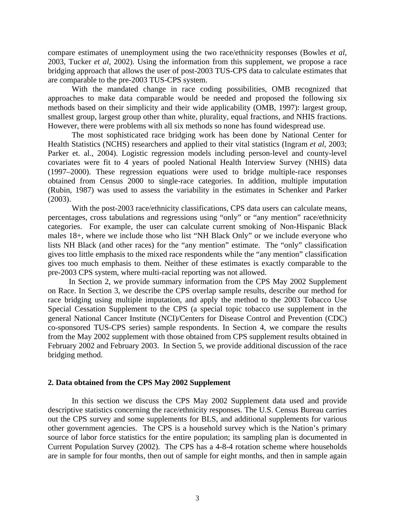compare estimates of unemployment using the two race/ethnicity responses (Bowles *et al*, 2003, Tucker *et al*, 2002). Using the information from this supplement, we propose a race bridging approach that allows the user of post-2003 TUS-CPS data to calculate estimates that are comparable to the pre-2003 TUS-CPS system.

With the mandated change in race coding possibilities, OMB recognized that approaches to make data comparable would be needed and proposed the following six methods based on their simplicity and their wide applicability (OMB, 1997): largest group, smallest group, largest group other than white, plurality, equal fractions, and NHIS fractions. However, there were problems with all six methods so none has found widespread use.

The most sophisticated race bridging work has been done by National Center for Health Statistics (NCHS) researchers and applied to their vital statistics (Ingram *et al*, 2003; Parker et. al., 2004). Logistic regression models including person-level and county-level covariates were fit to 4 years of pooled National Health Interview Survey (NHIS) data (1997–2000). These regression equations were used to bridge multiple-race responses obtained from Census 2000 to single-race categories. In addition, multiple imputation (Rubin, 1987) was used to assess the variability in the estimates in Schenker and Parker (2003).

With the post-2003 race/ethnicity classifications, CPS data users can calculate means, percentages, cross tabulations and regressions using "only" or "any mention" race/ethnicity categories. For example, the user can calculate current smoking of Non-Hispanic Black males 18+, where we include those who list "NH Black Only" or we include everyone who lists NH Black (and other races) for the "any mention" estimate. The "only" classification gives too little emphasis to the mixed race respondents while the "any mention" classification gives too much emphasis to them. Neither of these estimates is exactly comparable to the pre-2003 CPS system, where multi-racial reporting was not allowed.

In Section 2, we provide summary information from the CPS May 2002 Supplement on Race. In Section 3, we describe the CPS overlap sample results, describe our method for race bridging using multiple imputation, and apply the method to the 2003 Tobacco Use Special Cessation Supplement to the CPS (a special topic tobacco use supplement in the general National Cancer Institute (NCI)/Centers for Disease Control and Prevention (CDC) co-sponsored TUS-CPS series) sample respondents. In Section 4, we compare the results from the May 2002 supplement with those obtained from CPS supplement results obtained in February 2002 and February 2003. In Section 5, we provide additional discussion of the race bridging method.

### **2. Data obtained from the CPS May 2002 Supplement**

In this section we discuss the CPS May 2002 Supplement data used and provide descriptive statistics concerning the race/ethnicity responses. The U.S. Census Bureau carries out the CPS survey and some supplements for BLS, and additional supplements for various other government agencies. The CPS is a household survey which is the Nation's primary source of labor force statistics for the entire population; its sampling plan is documented in Current Population Survey (2002). The CPS has a 4-8-4 rotation scheme where households are in sample for four months, then out of sample for eight months, and then in sample again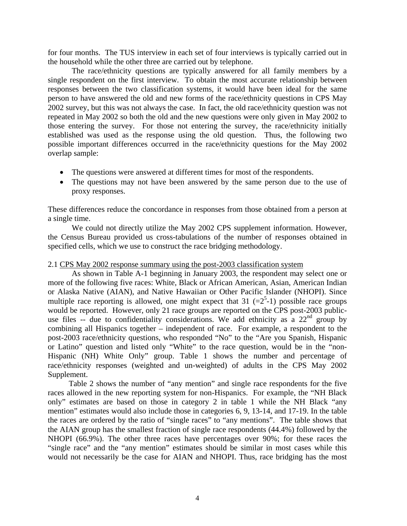for four months. The TUS interview in each set of four interviews is typically carried out in the household while the other three are carried out by telephone.

The race/ethnicity questions are typically answered for all family members by a single respondent on the first interview. To obtain the most accurate relationship between responses between the two classification systems, it would have been ideal for the same person to have answered the old and new forms of the race/ethnicity questions in CPS May 2002 survey, but this was not always the case. In fact, the old race/ethnicity question was not repeated in May 2002 so both the old and the new questions were only given in May 2002 to those entering the survey. For those not entering the survey, the race/ethnicity initially established was used as the response using the old question. Thus, the following two possible important differences occurred in the race/ethnicity questions for the May 2002 overlap sample:

- The questions were answered at different times for most of the respondents.
- The questions may not have been answered by the same person due to the use of proxy responses.

These differences reduce the concordance in responses from those obtained from a person at a single time.

We could not directly utilize the May 2002 CPS supplement information. However, the Census Bureau provided us cross-tabulations of the number of responses obtained in specified cells, which we use to construct the race bridging methodology.

## 2.1 CPS May 2002 response summary using the post-2003 classification system

As shown in Table A-1 beginning in January 2003, the respondent may select one or more of the following five races: White, Black or African American, Asian, American Indian or Alaska Native (AIAN), and Native Hawaiian or Other Pacific Islander (NHOPI). Since multiple race reporting is allowed, one might expect that 31  $(=2^5-1)$  possible race groups would be reported. However, only 21 race groups are reported on the CPS post-2003 publicuse files  $-$  due to confidentiality considerations. We add ethnicity as a  $22<sup>nd</sup>$  group by combining all Hispanics together – independent of race. For example, a respondent to the post-2003 race/ethnicity questions, who responded "No" to the "Are you Spanish, Hispanic or Latino" question and listed only "White" to the race question, would be in the "non-Hispanic (NH) White Only" group. Table 1 shows the number and percentage of race/ethnicity responses (weighted and un-weighted) of adults in the CPS May 2002 Supplement.

Table 2 shows the number of "any mention" and single race respondents for the five races allowed in the new reporting system for non-Hispanics. For example, the "NH Black only" estimates are based on those in category 2 in table 1 while the NH Black "any mention" estimates would also include those in categories 6, 9, 13-14, and 17-19. In the table the races are ordered by the ratio of "single races" to "any mentions". The table shows that the AIAN group has the smallest fraction of single race respondents (44.4%) followed by the NHOPI (66.9%). The other three races have percentages over 90%; for these races the "single race" and the "any mention" estimates should be similar in most cases while this would not necessarily be the case for AIAN and NHOPI. Thus, race bridging has the most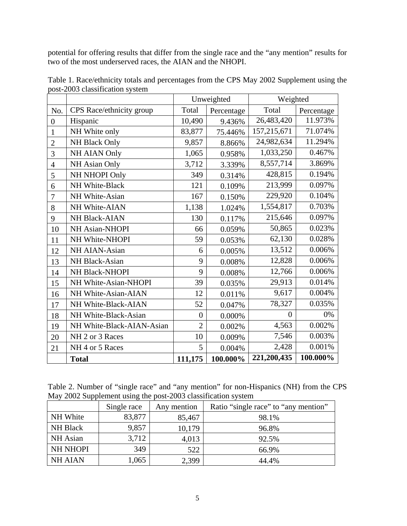potential for offering results that differ from the single race and the "any mention" results for two of the most underserved races, the AIAN and the NHOPI.

|                |                           |                | Unweighted | Weighted    |            |  |
|----------------|---------------------------|----------------|------------|-------------|------------|--|
| No.            | CPS Race/ethnicity group  | Total          | Percentage | Total       | Percentage |  |
| $\overline{0}$ | Hispanic                  | 10,490         | 9.436%     | 26,483,420  | 11.973%    |  |
| 1              | NH White only             | 83,877         | 75.446%    | 157,215,671 | 71.074%    |  |
| $\overline{2}$ | NH Black Only             | 9,857          | 8.866%     | 24,982,634  | 11.294%    |  |
| 3              | NH AIAN Only              | 1,065          | 0.958%     | 1,033,250   | 0.467%     |  |
| $\overline{4}$ | NH Asian Only             | 3,712          | 3.339%     | 8,557,714   | 3.869%     |  |
| 5              | NH NHOPI Only             | 349            | 0.314%     | 428,815     | 0.194%     |  |
| 6              | NH White-Black            | 121            | 0.109%     | 213,999     | 0.097%     |  |
| 7              | NH White-Asian            | 167            | 0.150%     | 229,920     | 0.104%     |  |
| 8              | NH White-AIAN             | 1,138          | 1.024%     | 1,554,817   | 0.703%     |  |
| 9              | NH Black-AIAN             | 130            | 0.117%     | 215,646     | 0.097%     |  |
| 10             | NH Asian-NHOPI            | 66             | 0.059%     | 50,865      | 0.023%     |  |
| 11             | NH White-NHOPI            | 59             | 0.053%     | 62,130      | 0.028%     |  |
| 12             | NH AIAN-Asian             | 6              | 0.005%     | 13,512      | 0.006%     |  |
| 13             | NH Black-Asian            | 9              | 0.008%     | 12,828      | 0.006%     |  |
| 14             | NH Black-NHOPI            | 9              | 0.008%     | 12,766      | 0.006%     |  |
| 15             | NH White-Asian-NHOPI      | 39             | 0.035%     | 29,913      | 0.014%     |  |
| 16             | NH White-Asian-AIAN       | 12             | 0.011%     | 9,617       | 0.004%     |  |
| 17             | NH White-Black-AIAN       | 52             | 0.047%     | 78,327      | 0.035%     |  |
| 18             | NH White-Black-Asian      | $\overline{0}$ | 0.000%     | $\Omega$    | 0%         |  |
| 19             | NH White-Black-AIAN-Asian | $\overline{2}$ | 0.002%     | 4,563       | 0.002%     |  |
| 20             | NH 2 or 3 Races           | 10             | 0.009%     | 7,546       | 0.003%     |  |
| 21             | NH 4 or 5 Races           | 5              | 0.004%     | 2,428       | 0.001%     |  |
|                | <b>Total</b>              | 111,175        | 100.000%   | 221,200,435 | 100.000%   |  |

Table 1. Race/ethnicity totals and percentages from the CPS May 2002 Supplement using the post-2003 classification system

Table 2. Number of "single race" and "any mention" for non-Hispanics (NH) from the CPS May 2002 Supplement using the post-2003 classification system

|                 | Single race | Any mention | Ratio "single race" to "any mention" |
|-----------------|-------------|-------------|--------------------------------------|
| NH White        | 83,877      | 85,467      | 98.1%                                |
| <b>NH Black</b> | 9,857       | 10,179      | 96.8%                                |
| NH Asian        | 3,712       | 4,013       | 92.5%                                |
| <b>NH NHOPI</b> | 349         | 522         | 66.9%                                |
| <b>NH AIAN</b>  | 1,065       | 2,399       | 44.4%                                |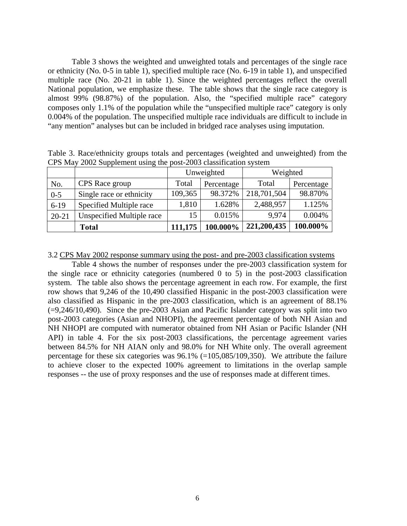Table 3 shows the weighted and unweighted totals and percentages of the single race or ethnicity (No. 0-5 in table 1), specified multiple race (No. 6-19 in table 1), and unspecified multiple race (No. 20-21 in table 1). Since the weighted percentages reflect the overall National population, we emphasize these. The table shows that the single race category is almost 99% (98.87%) of the population. Also, the "specified multiple race" category composes only 1.1% of the population while the "unspecified multiple race" category is only 0.004% of the population. The unspecified multiple race individuals are difficult to include in "any mention" analyses but can be included in bridged race analyses using imputation.

|           |                           | Unweighted |            | Weighted    |            |
|-----------|---------------------------|------------|------------|-------------|------------|
| No.       | CPS Race group            | Total      | Percentage | Total       | Percentage |
| $0 - 5$   | Single race or ethnicity  | 109,365    | 98.372%    | 218,701,504 | 98.870%    |
| $6-19$    | Specified Multiple race   | 1,810      | 1.628%     | 2,488,957   | 1.125%     |
| $20 - 21$ | Unspecified Multiple race | 15         | 0.015%     | 9.974       | 0.004%     |
|           | <b>Total</b>              | 111,175    | 100.000%   | 221,200,435 | 100.000%   |

Table 3. Race/ethnicity groups totals and percentages (weighted and unweighted) from the CPS May 2002 Supplement using the post-2003 classification system

## 3.2 CPS May 2002 response summary using the post- and pre-2003 classification systems

Table 4 shows the number of responses under the pre-2003 classification system for the single race or ethnicity categories (numbered 0 to 5) in the post-2003 classification system. The table also shows the percentage agreement in each row. For example, the first row shows that 9,246 of the 10,490 classified Hispanic in the post-2003 classification were also classified as Hispanic in the pre-2003 classification, which is an agreement of 88.1% (=9,246/10,490). Since the pre-2003 Asian and Pacific Islander category was split into two post-2003 categories (Asian and NHOPI), the agreement percentage of both NH Asian and NH NHOPI are computed with numerator obtained from NH Asian or Pacific Islander (NH API) in table 4. For the six post-2003 classifications, the percentage agreement varies between 84.5% for NH AIAN only and 98.0% for NH White only. The overall agreement percentage for these six categories was  $96.1\%$  (=105,085/109,350). We attribute the failure to achieve closer to the expected 100% agreement to limitations in the overlap sample responses -- the use of proxy responses and the use of responses made at different times.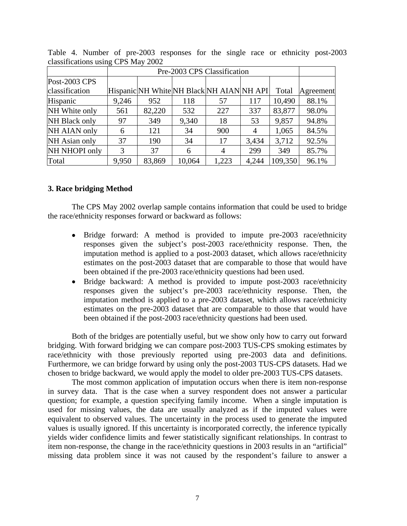|                |       | Pre-2003 CPS Classification |        |                                           |       |         |           |  |  |  |
|----------------|-------|-----------------------------|--------|-------------------------------------------|-------|---------|-----------|--|--|--|
| Post-2003 CPS  |       |                             |        |                                           |       |         |           |  |  |  |
| classification |       |                             |        | Hispanic NH White NH Black NH AIAN NH API |       | Total   | Agreement |  |  |  |
| Hispanic       | 9,246 | 952                         | 118    | 57                                        | 117   | 10,490  | 88.1%     |  |  |  |
| NH White only  | 561   | 82,220                      | 532    | 227                                       | 337   | 83,877  | 98.0%     |  |  |  |
| NH Black only  | 97    | 349                         | 9,340  | 18                                        | 53    | 9,857   | 94.8%     |  |  |  |
| NH AIAN only   | 6     | 121                         | 34     | 900                                       | 4     | 1,065   | 84.5%     |  |  |  |
| NH Asian only  | 37    | 190                         | 34     | 17                                        | 3,434 | 3,712   | 92.5%     |  |  |  |
| NH NHOPI only  | 3     | 37                          | 6      | $\overline{4}$                            | 299   | 349     | 85.7%     |  |  |  |
| Total          | 9,950 | 83,869                      | 10,064 | 1,223                                     | 4,244 | 109,350 | 96.1%     |  |  |  |

Table 4. Number of pre-2003 responses for the single race or ethnicity post-2003 classifications using CPS May 2002

## **3. Race bridging Method**

The CPS May 2002 overlap sample contains information that could be used to bridge the race/ethnicity responses forward or backward as follows:

- Bridge forward: A method is provided to impute pre-2003 race/ethnicity responses given the subject's post-2003 race/ethnicity response. Then, the imputation method is applied to a post-2003 dataset, which allows race/ethnicity estimates on the post-2003 dataset that are comparable to those that would have been obtained if the pre-2003 race/ethnicity questions had been used.
- Bridge backward: A method is provided to impute post-2003 race/ethnicity responses given the subject's pre-2003 race/ethnicity response. Then, the imputation method is applied to a pre-2003 dataset, which allows race/ethnicity estimates on the pre-2003 dataset that are comparable to those that would have been obtained if the post-2003 race/ethnicity questions had been used.

Both of the bridges are potentially useful, but we show only how to carry out forward bridging. With forward bridging we can compare post-2003 TUS-CPS smoking estimates by race/ethnicity with those previously reported using pre-2003 data and definitions. Furthermore, we can bridge forward by using only the post-2003 TUS-CPS datasets. Had we chosen to bridge backward, we would apply the model to older pre-2003 TUS-CPS datasets.

The most common application of imputation occurs when there is item non-response in survey data. That is the case when a survey respondent does not answer a particular question; for example, a question specifying family income. When a single imputation is used for missing values, the data are usually analyzed as if the imputed values were equivalent to observed values. The uncertainty in the process used to generate the imputed values is usually ignored. If this uncertainty is incorporated correctly, the inference typically yields wider confidence limits and fewer statistically significant relationships. In contrast to item non-response, the change in the race/ethnicity questions in 2003 results in an "artificial" missing data problem since it was not caused by the respondent's failure to answer a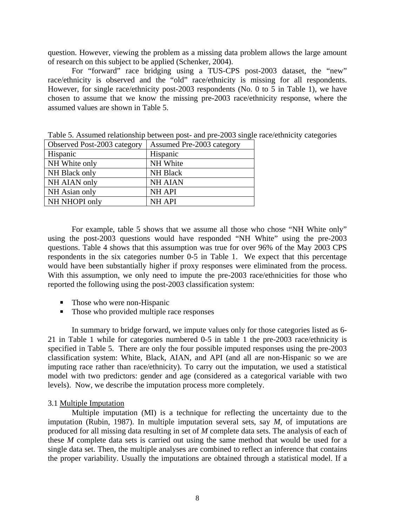question. However, viewing the problem as a missing data problem allows the large amount of research on this subject to be applied (Schenker, 2004).

For "forward" race bridging using a TUS-CPS post-2003 dataset, the "new" race/ethnicity is observed and the "old" race/ethnicity is missing for all respondents. However, for single race/ethnicity post-2003 respondents (No. 0 to 5 in Table 1), we have chosen to assume that we know the missing pre-2003 race/ethnicity response, where the assumed values are shown in Table 5.

| Observed Post-2003 category | Assumed Pre-2003 category |
|-----------------------------|---------------------------|
| Hispanic                    | Hispanic                  |
| NH White only               | NH White                  |
| NH Black only               | <b>NH Black</b>           |
| NH AIAN only                | <b>NH AIAN</b>            |
| NH Asian only               | <b>NH API</b>             |
| NH NHOPI only               | <b>NH API</b>             |

Table 5. Assumed relationship between post- and pre-2003 single race/ethnicity categories

For example, table 5 shows that we assume all those who chose "NH White only" using the post-2003 questions would have responded "NH White" using the pre-2003 questions. Table 4 shows that this assumption was true for over 96% of the May 2003 CPS respondents in the six categories number 0-5 in Table 1. We expect that this percentage would have been substantially higher if proxy responses were eliminated from the process. With this assumption, we only need to impute the pre-2003 race/ethnicities for those who reported the following using the post-2003 classification system:

- Those who were non-Hispanic
- Those who provided multiple race responses

In summary to bridge forward, we impute values only for those categories listed as 6- 21 in Table 1 while for categories numbered 0-5 in table 1 the pre-2003 race/ethnicity is specified in Table 5. There are only the four possible imputed responses using the pre-2003 classification system: White, Black, AIAN, and API (and all are non-Hispanic so we are imputing race rather than race/ethnicity). To carry out the imputation, we used a statistical model with two predictors: gender and age (considered as a categorical variable with two levels). Now, we describe the imputation process more completely.

#### 3.1 Multiple Imputation

Multiple imputation (MI) is a technique for reflecting the uncertainty due to the imputation (Rubin, 1987). In multiple imputation several sets, say *M*, of imputations are produced for all missing data resulting in set of *M* complete data sets. The analysis of each of these *M* complete data sets is carried out using the same method that would be used for a single data set. Then, the multiple analyses are combined to reflect an inference that contains the proper variability. Usually the imputations are obtained through a statistical model. If a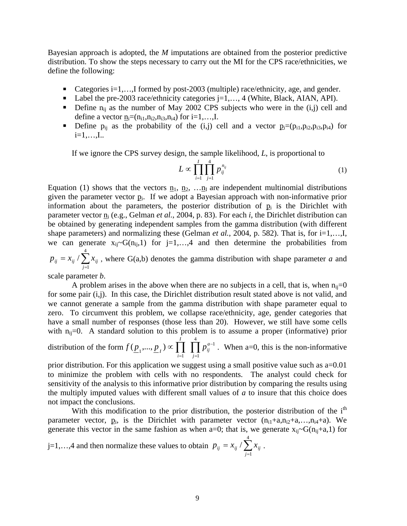Bayesian approach is adopted, the *M* imputations are obtained from the posterior predictive distribution. To show the steps necessary to carry out the MI for the CPS race/ethnicities, we define the following:

- Categories  $i=1,...,I$  formed by post-2003 (multiple) race/ethnicity, age, and gender.
- Label the pre-2003 race/ethnicity categories j=1,..., 4 (White, Black, AIAN, API).
- **•** Define  $n_{ii}$  as the number of May 2002 CPS subjects who were in the (i,j) cell and define a vector  $\underline{n}_i=(n_{i1},n_{i2},n_{i3},n_{i4})$  for  $i=1,...,I$ .
- **•** Define  $p_{ij}$  as the probability of the (i,j) cell and a vector  $p_i=(p_{i1},p_{i2},p_{i3},p_{i4})$  for i=1,…,I..

If we ignore the CPS survey design, the sample likelihood, *L*, is proportional to

$$
L \propto \prod_{i=1}^{I} \prod_{j=1}^{4} p_{ij}^{n_{ij}} \tag{1}
$$

Equation (1) shows that the vectors  $n_1$ ,  $n_2$ , ...  $n_i$  are independent multinomial distributions given the parameter vector  $p_i$ . If we adopt a Bayesian approach with non-informative prior information about the parameters, the posterior distribution of  $p_i$  is the Dirichlet with parameter vector  $\underline{n}_i$  (e.g., Gelman *et al.*, 2004, p. 83). For each *i*, the Dirichlet distribution can be obtained by generating independent samples from the gamma distribution (with different shape parameters) and normalizing these (Gelman *et al.*, 2004, p. 582). That is, for i=1,...,I, we can generate  $x_{ii} \sim G(n_{ii},1)$  for  $i=1,...,4$  and then determine the probabilities from 4

 $\sum_{j=1} x_{ij}$ , = 1 / *j*  $p_{ij} = x_{ij} / \sum x_{ij}$ , where G(a,b) denotes the gamma distribution with shape parameter *a* and

scale parameter *b*.

A problem arises in the above when there are no subjects in a cell, that is, when  $n_{ii}=0$ for some pair (i,j). In this case, the Dirichlet distribution result stated above is not valid, and we cannot generate a sample from the gamma distribution with shape parameter equal to zero. To circumvent this problem, we collapse race/ethnicity, age, gender categories that have a small number of responses (those less than 20). However, we still have some cells with  $n_{ij}=0$ . A standard solution to this problem is to assume a proper (informative) prior 4 1 *a I*

distribution of the form  $f(\underline{p}_1,...,\underline{p}_I) \propto \prod_{i=1} \prod_{j=1} p_{ij}^{a-i}$ = ∝ 1  $(\underline{p}_1,...,\underline{p}_I) \propto \prod_{i=1} I_i$ *ij*  $f(\underline{p}_1,...,\underline{p}_I) \propto \prod_{i=1} \prod_{j=1} p_{ij}^{a-1}$ . When a=0, this is the non-informative

prior distribution. For this application we suggest using a small positive value such as  $a=0.01$ to minimize the problem with cells with no respondents. The analyst could check for sensitivity of the analysis to this informative prior distribution by comparing the results using the multiply imputed values with different small values of *a* to insure that this choice does not impact the conclusions.

With this modification to the prior distribution, the posterior distribution of the  $i<sup>th</sup>$ parameter vector,  $p_i$ , is the Dirichlet with parameter vector  $(n_{i1}+a_n,n_{i2}+a_{n1},n_{i4}+a)$ . We generate this vector in the same fashion as when a=0; that is, we generate  $x_{ii} \sim G(n_{ii} + a, 1)$  for

j=1,...,4 and then normalize these values to obtain  $p_{ij} = x_{ij} / \sum_{j=1}^{n} x_{ij}$ . 4 1 / *j*  $p_{ij} = x_{ij}/\sum x_{ij}$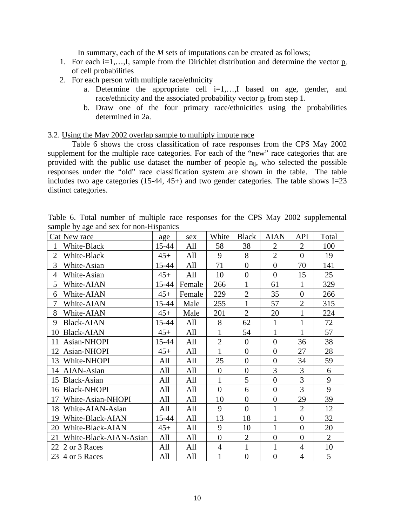In summary, each of the *M* sets of imputations can be created as follows;

- 1. For each i=1,...,I, sample from the Dirichlet distribution and determine the vector  $p_i$ of cell probabilities
- 2. For each person with multiple race/ethnicity
	- a. Determine the appropriate cell  $i=1,...,I$  based on age, gender, and race/ethnicity and the associated probability vector  $p_i$  from step 1.
	- b. Draw one of the four primary race/ethnicities using the probabilities determined in 2a.

## 3.2. Using the May 2002 overlap sample to multiply impute race

Table 6 shows the cross classification of race responses from the CPS May 2002 supplement for the multiple race categories. For each of the "new" race categories that are provided with the public use dataset the number of people  $n_{ii}$ , who selected the possible responses under the "old" race classification system are shown in the table. The table includes two age categories (15-44, 45+) and two gender categories. The table shows I=23 distinct categories.

Table 6. Total number of multiple race responses for the CPS May 2002 supplemental sample by age and sex for non-Hispanics

|                | Cat New race           | age   | sex    | White          | <b>Black</b>     | <b>AIAN</b>    | <b>API</b>       | Total          |
|----------------|------------------------|-------|--------|----------------|------------------|----------------|------------------|----------------|
| $\mathbf{1}$   | White-Black            | 15-44 | All    | 58             | 38               | $\overline{2}$ | $\overline{2}$   | 100            |
| $\overline{2}$ | White-Black            | $45+$ | All    | 9              | 8                | $\overline{2}$ | $\overline{0}$   | 19             |
| 3              | White-Asian            | 15-44 | All    | 71             | $\boldsymbol{0}$ | $\overline{0}$ | 70               | 141            |
| 4              | White-Asian            | $45+$ | All    | 10             | $\boldsymbol{0}$ | $\overline{0}$ | 15               | 25             |
| 5              | White-AIAN             | 15-44 | Female | 266            | $\mathbf{1}$     | 61             | $\mathbf{1}$     | 329            |
| 6              | White-AIAN             | $45+$ | Female | 229            | $\overline{2}$   | 35             | $\overline{0}$   | 266            |
| 7              | White-AIAN             | 15-44 | Male   | 255            | $\mathbf{1}$     | 57             | $\overline{2}$   | 315            |
| 8              | White-AIAN             | $45+$ | Male   | 201            | $\overline{2}$   | 20             | $\mathbf{1}$     | 224            |
| 9              | <b>Black-AIAN</b>      | 15-44 | All    | 8              | 62               | 1              | $\mathbf{1}$     | 72             |
| 10             | <b>Black-AIAN</b>      | $45+$ | All    | $\mathbf{1}$   | 54               | $\mathbf{1}$   | $\mathbf{1}$     | 57             |
| 11             | Asian-NHOPI            | 15-44 | All    | $\overline{2}$ | $\boldsymbol{0}$ | $\overline{0}$ | 36               | 38             |
| 12             | Asian-NHOPI            | $45+$ | All    | $\mathbf{1}$   | $\boldsymbol{0}$ | $\overline{0}$ | 27               | 28             |
| 13             | White-NHOPI            | All   | All    | 25             | $\boldsymbol{0}$ | $\overline{0}$ | 34               | 59             |
|                | 14 AIAN-Asian          | All   | All    | $\overline{0}$ | $\boldsymbol{0}$ | 3              | $\mathfrak{Z}$   | 6              |
| 15             | Black-Asian            | All   | All    | $\mathbf{1}$   | 5                | $\overline{0}$ | $\overline{3}$   | 9              |
|                | 16 Black-NHOPI         | All   | All    | $\overline{0}$ | 6                | $\overline{0}$ | $\overline{3}$   | 9              |
| 17             | White-Asian-NHOPI      | All   | All    | 10             | $\boldsymbol{0}$ | $\overline{0}$ | 29               | 39             |
| 18             | White-AIAN-Asian       | All   | All    | 9              | $\overline{0}$   | $\mathbf{1}$   | $\overline{2}$   | 12             |
| 19             | White-Black-AIAN       | 15-44 | All    | 13             | 18               | $\mathbf{1}$   | $\boldsymbol{0}$ | 32             |
| 20             | White-Black-AIAN       | $45+$ | All    | 9              | 10               | $\mathbf{1}$   | $\overline{0}$   | 20             |
| 21             | White-Black-AIAN-Asian | All   | All    | $\overline{0}$ | $\sqrt{2}$       | $\overline{0}$ | $\boldsymbol{0}$ | $\overline{2}$ |
| 22             | 2 or 3 Races           | All   | All    | $\overline{4}$ | $\mathbf{1}$     | $\mathbf{1}$   | $\overline{4}$   | 10             |
|                | 23 4 or 5 Races        | All   | All    | $\mathbf{1}$   | $\boldsymbol{0}$ | $\overline{0}$ | $\overline{4}$   | 5              |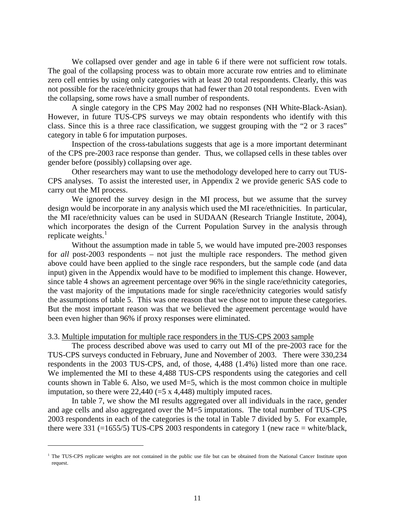We collapsed over gender and age in table 6 if there were not sufficient row totals. The goal of the collapsing process was to obtain more accurate row entries and to eliminate zero cell entries by using only categories with at least 20 total respondents. Clearly, this was not possible for the race/ethnicity groups that had fewer than 20 total respondents. Even with the collapsing, some rows have a small number of respondents.

A single category in the CPS May 2002 had no responses (NH White-Black-Asian). However, in future TUS-CPS surveys we may obtain respondents who identify with this class. Since this is a three race classification, we suggest grouping with the "2 or 3 races" category in table 6 for imputation purposes.

Inspection of the cross-tabulations suggests that age is a more important determinant of the CPS pre-2003 race response than gender. Thus, we collapsed cells in these tables over gender before (possibly) collapsing over age.

Other researchers may want to use the methodology developed here to carry out TUS-CPS analyses. To assist the interested user, in Appendix 2 we provide generic SAS code to carry out the MI process.

We ignored the survey design in the MI process, but we assume that the survey design would be incorporate in any analysis which used the MI race/ethnicities. In particular, the MI race/ethnicity values can be used in SUDAAN (Research Triangle Institute, 2004), which incorporates the design of the Current Population Survey in the analysis through replicate weights. $<sup>1</sup>$  $<sup>1</sup>$  $<sup>1</sup>$ </sup>

Without the assumption made in table 5, we would have imputed pre-2003 responses for *all* post-2003 respondents – not just the multiple race responders. The method given above could have been applied to the single race responders, but the sample code (and data input) given in the Appendix would have to be modified to implement this change. However, since table 4 shows an agreement percentage over 96% in the single race/ethnicity categories, the vast majority of the imputations made for single race/ethnicity categories would satisfy the assumptions of table 5. This was one reason that we chose not to impute these categories. But the most important reason was that we believed the agreement percentage would have been even higher than 96% if proxy responses were eliminated.

## 3.3. Multiple imputation for multiple race responders in the TUS-CPS 2003 sample

The process described above was used to carry out MI of the pre-2003 race for the TUS-CPS surveys conducted in February, June and November of 2003. There were 330,234 respondents in the 2003 TUS-CPS, and, of those, 4,488 (1.4%) listed more than one race. We implemented the MI to these 4,488 TUS-CPS respondents using the categories and cell counts shown in Table 6. Also, we used M=5, which is the most common choice in multiple imputation, so there were  $22,440 (=5 \times 4,448)$  multiply imputed races.

In table 7, we show the MI results aggregated over all individuals in the race, gender and age cells and also aggregated over the M=5 imputations. The total number of TUS-CPS 2003 respondents in each of the categories is the total in Table 7 divided by 5. For example, there were 331 (=1655/5) TUS-CPS 2003 respondents in category 1 (new race = white/black,

l

<span id="page-10-0"></span><sup>&</sup>lt;sup>1</sup> The TUS-CPS replicate weights are not contained in the public use file but can be obtained from the National Cancer Institute upon request.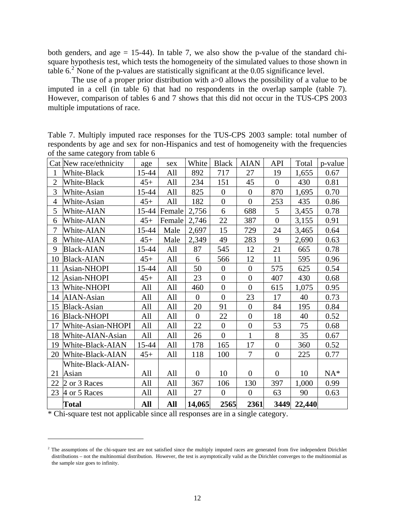both genders, and age  $= 15-44$ ). In table 7, we also show the p-value of the standard chisquare hypothesis test, which tests the homogeneity of the simulated values to those shown in table  $6<sup>2</sup>$  $6<sup>2</sup>$  $6<sup>2</sup>$  None of the p-values are statistically significant at the 0.05 significance level.

The use of a proper prior distribution with  $a > 0$  allows the possibility of a value to be imputed in a cell (in table 6) that had no respondents in the overlap sample (table 7). However, comparison of tables 6 and 7 shows that this did not occur in the TUS-CPS 2003 multiple imputations of race.

| Table 7. Multiply imputed race responses for the TUS-CPS 2003 sample: total number of     |
|-------------------------------------------------------------------------------------------|
| respondents by age and sex for non-Hispanics and test of homogeneity with the frequencies |
| of the same category from table 6                                                         |

|                | Cat New race/ethnicity | age   | sex    | White          | <b>Black</b>     | <b>AIAN</b>      | API              | Total  | p-value |
|----------------|------------------------|-------|--------|----------------|------------------|------------------|------------------|--------|---------|
| 1              | White-Black            | 15-44 | All    | 892            | 717              | 27               | 19               | 1,655  | 0.67    |
| $\mathbf{2}$   | White-Black            | $45+$ | All    | 234            | 151              | 45               | $\overline{0}$   | 430    | 0.81    |
| 3              | White-Asian            | 15-44 | All    | 825            | $\theta$         | $\mathbf{0}$     | 870              | 1,695  | 0.70    |
| $\overline{4}$ | White-Asian            | $45+$ | All    | 182            | $\boldsymbol{0}$ | $\overline{0}$   | 253              | 435    | 0.86    |
| 5              | White-AIAN             | 15-44 | Female | 2,756          | 6                | 688              | 5                | 3,455  | 0.78    |
| 6              | White-AIAN             | $45+$ | Female | 2,746          | 22               | 387              | $\overline{0}$   | 3,155  | 0.91    |
| $\tau$         | White-AIAN             | 15-44 | Male   | 2,697          | 15               | 729              | 24               | 3,465  | 0.64    |
| 8              | White-AIAN             | $45+$ | Male   | 2,349          | 49               | 283              | 9                | 2,690  | 0.63    |
| 9              | <b>Black-AIAN</b>      | 15-44 | All    | 87             | 545              | 12               | 21               | 665    | 0.78    |
| 10             | <b>Black-AIAN</b>      | $45+$ | All    | 6              | 566              | 12               | 11               | 595    | 0.96    |
| 11             | Asian-NHOPI            | 15-44 | All    | 50             | $\overline{0}$   | $\boldsymbol{0}$ | 575              | 625    | 0.54    |
| 12             | Asian-NHOPI            | $45+$ | All    | 23             | $\overline{0}$   | $\mathbf{0}$     | 407              | 430    | 0.68    |
| 13             | White-NHOPI            | All   | All    | 460            | $\overline{0}$   | $\mathbf{0}$     | 615              | 1,075  | 0.95    |
| 14             | AIAN-Asian             | All   | All    | $\overline{0}$ | $\boldsymbol{0}$ | 23               | 17               | 40     | 0.73    |
| 15             | Black-Asian            | All   | All    | 20             | 91               | $\theta$         | 84               | 195    | 0.84    |
| 16             | <b>Black-NHOPI</b>     | All   | All    | $\overline{0}$ | 22               | $\overline{0}$   | 18               | 40     | 0.52    |
| 17             | White-Asian-NHOPI      | All   | All    | 22             | $\overline{0}$   | $\boldsymbol{0}$ | 53               | 75     | 0.68    |
| 18             | White-AIAN-Asian       | All   | All    | 26             | $\overline{0}$   | $\mathbf{1}$     | 8                | 35     | 0.67    |
| 19             | White-Black-AIAN       | 15-44 | All    | 178            | 165              | 17               | $\overline{0}$   | 360    | 0.52    |
| 20             | White-Black-AIAN       | $45+$ | All    | 118            | 100              | $\overline{7}$   | $\boldsymbol{0}$ | 225    | 0.77    |
|                | White-Black-AIAN-      |       |        |                |                  |                  |                  |        |         |
| 21             | Asian                  | All   | All    | $\overline{0}$ | 10               | $\overline{0}$   | $\overline{0}$   | 10     | $NA^*$  |
| 22             | 2 or 3 Races           | All   | All    | 367            | 106              | 130              | 397              | 1,000  | 0.99    |
| 23             | 4 or 5 Races           | All   | All    | 27             | $\overline{0}$   | $\mathbf{0}$     | 63               | 90     | 0.63    |
|                | <b>Total</b>           | All   | All    | 14,065         | 2565             | 2361             | 3449             | 22,440 |         |

\* Chi-square test not applicable since all responses are in a single category.

l

<span id="page-11-0"></span><sup>&</sup>lt;sup>2</sup> The assumptions of the chi-square test are not satisfied since the multiply imputed races are generated from five independent Dirichlet distributions – not the multinomial distribution. However, the test is asymptotically valid as the Dirichlet converges to the multinomial as the sample size goes to infinity.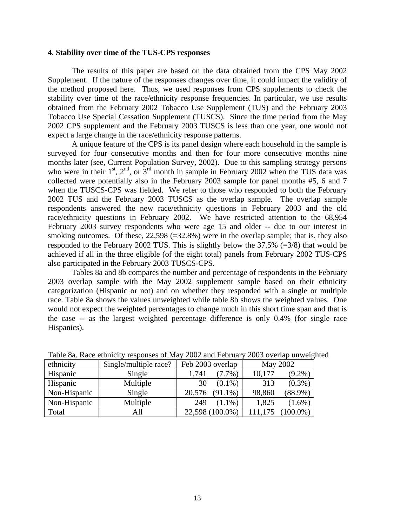## **4. Stability over time of the TUS-CPS responses**

The results of this paper are based on the data obtained from the CPS May 2002 Supplement. If the nature of the responses changes over time, it could impact the validity of the method proposed here. Thus, we used responses from CPS supplements to check the stability over time of the race/ethnicity response frequencies. In particular, we use results obtained from the February 2002 Tobacco Use Supplement (TUS) and the February 2003 Tobacco Use Special Cessation Supplement (TUSCS). Since the time period from the May 2002 CPS supplement and the February 2003 TUSCS is less than one year, one would not expect a large change in the race/ethnicity response patterns.

A unique feature of the CPS is its panel design where each household in the sample is surveyed for four consecutive months and then for four more consecutive months nine months later (see, Current Population Survey, 2002). Due to this sampling strategy persons who were in their  $1<sup>st</sup>$ ,  $2<sup>nd</sup>$ , or  $3<sup>rd</sup>$  month in sample in February 2002 when the TUS data was collected were potentially also in the February 2003 sample for panel months #5, 6 and 7 when the TUSCS-CPS was fielded. We refer to those who responded to both the February 2002 TUS and the February 2003 TUSCS as the overlap sample. The overlap sample respondents answered the new race/ethnicity questions in February 2003 and the old race/ethnicity questions in February 2002. We have restricted attention to the 68,954 February 2003 survey respondents who were age 15 and older -- due to our interest in smoking outcomes. Of these,  $22,598$  (=32.8%) were in the overlap sample; that is, they also responded to the February 2002 TUS. This is slightly below the  $37.5\%$  (=3/8) that would be achieved if all in the three eligible (of the eight total) panels from February 2002 TUS-CPS also participated in the February 2003 TUSCS-CPS.

Tables 8a and 8b compares the number and percentage of respondents in the February 2003 overlap sample with the May 2002 supplement sample based on their ethnicity categorization (Hispanic or not) and on whether they responded with a single or multiple race. Table 8a shows the values unweighted while table 8b shows the weighted values. One would not expect the weighted percentages to change much in this short time span and that is the case -- as the largest weighted percentage difference is only 0.4% (for single race Hispanics).

| ethnicity    | Single/multiple race? | Feb 2003 overlap   | May 2002             |
|--------------|-----------------------|--------------------|----------------------|
| Hispanic     | Single                | 1.741<br>$(7.7\%)$ | 10,177<br>$(9.2\%)$  |
| Hispanic     | Multiple              | $(0.1\%)$<br>30    | $(0.3\%)$<br>313     |
| Non-Hispanic | Single                | 20,576<br>(91.1%)  | $(88.9\%)$<br>98,860 |
| Non-Hispanic | Multiple              | 249<br>$(1.1\%)$   | 1,825<br>$1.6\%$ )   |
| Total        | All                   | 22,598 (100.0%)    | $.00.0\%$ )          |

Table 8a. Race ethnicity responses of May 2002 and February 2003 overlap unweighted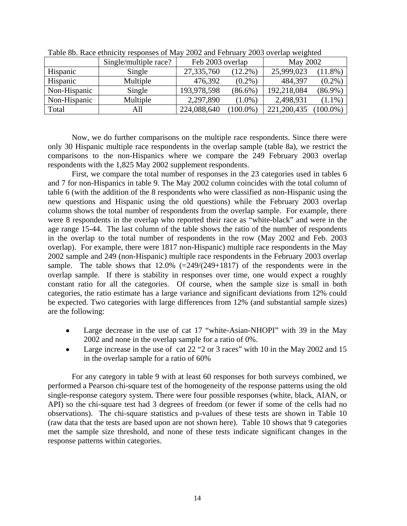|              | Single/multiple race? | Feb 2003 overlap |            | May 2002    |            |
|--------------|-----------------------|------------------|------------|-------------|------------|
| Hispanic     | Single                | 27,335,760       | $(12.2\%)$ | 25,999,023  | 11.8%)     |
| Hispanic     | Multiple              | 476,392          | $(0.2\%)$  | 484,397     | $(0.2\%)$  |
| Non-Hispanic | Single                | 193,978,598      | $(86.6\%)$ | 192,218,084 | $(86.9\%)$ |
| Non-Hispanic | Multiple              | 2,297,890        | $(1.0\%)$  | 2,498,931   | $(1.1\%)$  |
| Total        | All                   | 224,088,640      | $100.0\%$  | 221,200,435 | $100.0\%)$ |

Table 8b. Race ethnicity responses of May 2002 and February 2003 overlap weighted

Now, we do further comparisons on the multiple race respondents. Since there were only 30 Hispanic multiple race respondents in the overlap sample (table 8a), we restrict the comparisons to the non-Hispanics where we compare the 249 February 2003 overlap respondents with the 1,825 May 2002 supplement respondents.

First, we compare the total number of responses in the 23 categories used in tables 6 and 7 for non-Hispanics in table 9. The May 2002 column coincides with the total column of table 6 (with the addition of the 8 respondents who were classified as non-Hispanic using the new questions and Hispanic using the old questions) while the February 2003 overlap column shows the total number of respondents from the overlap sample. For example, there were 8 respondents in the overlap who reported their race as "white-black" and were in the age range 15-44. The last column of the table shows the ratio of the number of respondents in the overlap to the total number of respondents in the row (May 2002 and Feb. 2003 overlap). For example, there were 1817 non-Hispanic) multiple race respondents in the May 2002 sample and 249 (non-Hispanic) multiple race respondents in the February 2003 overlap sample. The table shows that  $12.0\%$  (=249/(249+1817) of the respondents were in the overlap sample. If there is stability in responses over time, one would expect a roughly constant ratio for all the categories. Of course, when the sample size is small in both categories, the ratio estimate has a large variance and significant deviations from 12% could be expected. Two categories with large differences from 12% (and substantial sample sizes) are the following:

- Large decrease in the use of cat 17 "white-Asian-NHOPI" with 39 in the May 2002 and none in the overlap sample for a ratio of 0%.
- Large increase in the use of cat  $22$  "2 or 3 races" with 10 in the May 2002 and 15 in the overlap sample for a ratio of 60%

For any category in table 9 with at least 60 responses for both surveys combined, we performed a Pearson chi-square test of the homogeneity of the response patterns using the old single-response category system. There were four possible responses (white, black, AIAN, or API) so the chi-square test had 3 degrees of freedom (or fewer if some of the cells had no observations). The chi-square statistics and p-values of these tests are shown in Table 10 (raw data that the tests are based upon are not shown here). Table 10 shows that 9 categories met the sample size threshold, and none of these tests indicate significant changes in the response patterns within categories.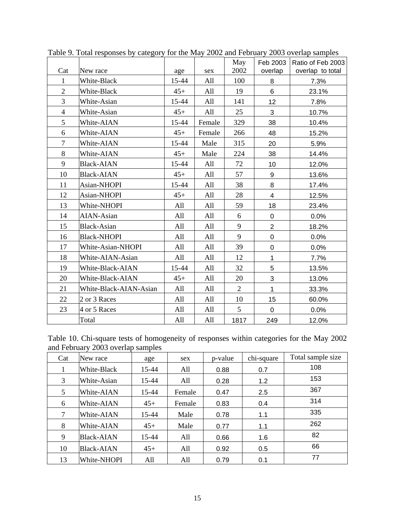|                        |                                                                      |                                         | May                             | Feb 2003                       | Ratio of Feb 2003            |
|------------------------|----------------------------------------------------------------------|-----------------------------------------|---------------------------------|--------------------------------|------------------------------|
|                        |                                                                      |                                         |                                 |                                | overlap to total<br>7.3%     |
|                        |                                                                      |                                         |                                 |                                |                              |
|                        |                                                                      |                                         |                                 |                                | 23.1%                        |
|                        |                                                                      |                                         |                                 |                                | 7.8%                         |
|                        |                                                                      |                                         |                                 |                                | 10.7%                        |
| White-AIAN             | 15-44                                                                | Female                                  | 329                             | 38                             | 10.4%                        |
| White-AIAN             | $45+$                                                                | Female                                  | 266                             | 48                             | 15.2%                        |
| White-AIAN             | 15-44                                                                | Male                                    | 315                             | 20                             | 5.9%                         |
| White-AIAN             | $45+$                                                                | Male                                    | 224                             | 38                             | 14.4%                        |
| <b>Black-AIAN</b>      | 15-44                                                                | All                                     | 72                              | 10                             | 12.0%                        |
| <b>Black-AIAN</b>      | $45+$                                                                | All                                     | 57                              | 9                              | 13.6%                        |
| Asian-NHOPI            | 15-44                                                                | All                                     | 38                              | 8                              | 17.4%                        |
| Asian-NHOPI            | $45+$                                                                | All                                     | 28                              | $\overline{4}$                 | 12.5%                        |
| White-NHOPI            | All                                                                  | All                                     | 59                              | 18                             | 23.4%                        |
| <b>AIAN-Asian</b>      | All                                                                  | All                                     | 6                               | 0                              | 0.0%                         |
| Black-Asian            | All                                                                  | All                                     | 9                               | $\overline{2}$                 | 18.2%                        |
| <b>Black-NHOPI</b>     | All                                                                  | All                                     | 9                               | 0                              | 0.0%                         |
| White-Asian-NHOPI      | All                                                                  | All                                     | 39                              | $\pmb{0}$                      | 0.0%                         |
| White-AIAN-Asian       | All                                                                  | All                                     | 12                              | 1                              | 7.7%                         |
| White-Black-AIAN       | 15-44                                                                | All                                     | 32                              | 5                              | 13.5%                        |
| White-Black-AIAN       | $45+$                                                                | All                                     | 20                              | 3                              | 13.0%                        |
| White-Black-AIAN-Asian | All                                                                  | All                                     | $\overline{2}$                  | $\mathbf{1}$                   | 33.3%                        |
| 2 or 3 Races           | All                                                                  | All                                     | 10                              | 15                             | 60.0%                        |
| 4 or 5 Races           | All                                                                  | All                                     | 5                               | $\mathbf 0$                    | 0.0%                         |
| Total                  | All                                                                  | All                                     | 1817                            | 249                            | 12.0%                        |
|                        | New race<br>White-Black<br>White-Black<br>White-Asian<br>White-Asian | age<br>15-44<br>$45+$<br>15-44<br>$45+$ | sex<br>All<br>All<br>All<br>All | 2002<br>100<br>19<br>141<br>25 | overlap<br>8<br>6<br>12<br>3 |

Table 9. Total responses by category for the May 2002 and February 2003 overlap samples

Table 10. Chi-square tests of homogeneity of responses within categories for the May 2002 and February 2003 overlap samples

| Cat    | New race          | age   | sex    | p-value | chi-square | Total sample size |
|--------|-------------------|-------|--------|---------|------------|-------------------|
| 1      | White-Black       | 15-44 | All    | 0.88    | 0.7        | 108               |
| 3      | White-Asian       | 15-44 | All    | 0.28    | 1.2        | 153               |
| 5      | White-AIAN        | 15-44 | Female | 0.47    | 2.5        | 367               |
| 6      | White-AIAN        | $45+$ | Female | 0.83    | 0.4        | 314               |
| $\tau$ | White-AIAN        | 15-44 | Male   | 0.78    | 1.1        | 335               |
| 8      | White-AIAN        | $45+$ | Male   | 0.77    | 1.1        | 262               |
| 9      | <b>Black-AIAN</b> | 15-44 | All    | 0.66    | 1.6        | 82                |
| 10     | <b>Black-AIAN</b> | $45+$ | All    | 0.92    | 0.5        | 66                |
| 13     | White-NHOPI       | All   | All    | 0.79    | 0.1        | 77                |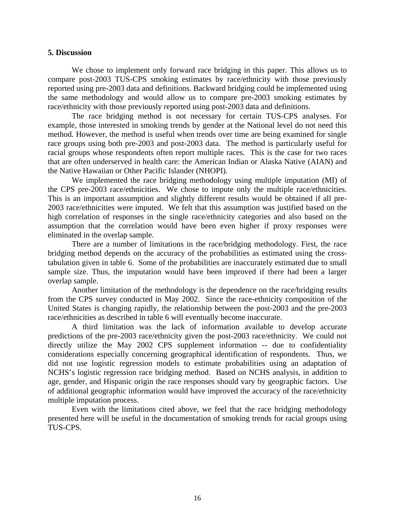## **5. Discussion**

We chose to implement only forward race bridging in this paper. This allows us to compare post-2003 TUS-CPS smoking estimates by race/ethnicity with those previously reported using pre-2003 data and definitions. Backward bridging could be implemented using the same methodology and would allow us to compare pre-2003 smoking estimates by race/ethnicity with those previously reported using post-2003 data and definitions.

The race bridging method is not necessary for certain TUS-CPS analyses. For example, those interested in smoking trends by gender at the National level do not need this method. However, the method is useful when trends over time are being examined for single race groups using both pre-2003 and post-2003 data. The method is particularly useful for racial groups whose respondents often report multiple races. This is the case for two races that are often underserved in health care: the American Indian or Alaska Native (AIAN) and the Native Hawaiian or Other Pacific Islander (NHOPI).

We implemented the race bridging methodology using multiple imputation (MI) of the CPS pre-2003 race/ethnicities. We chose to impute only the multiple race/ethnicities. This is an important assumption and slightly different results would be obtained if all pre-2003 race/ethnicities were imputed. We felt that this assumption was justified based on the high correlation of responses in the single race/ethnicity categories and also based on the assumption that the correlation would have been even higher if proxy responses were eliminated in the overlap sample.

There are a number of limitations in the race/bridging methodology. First, the race bridging method depends on the accuracy of the probabilities as estimated using the crosstabulation given in table 6. Some of the probabilities are inaccurately estimated due to small sample size. Thus, the imputation would have been improved if there had been a larger overlap sample.

Another limitation of the methodology is the dependence on the race/bridging results from the CPS survey conducted in May 2002. Since the race-ethnicity composition of the United States is changing rapidly, the relationship between the post-2003 and the pre-2003 race/ethnicities as described in table 6 will eventually become inaccurate.

A third limitation was the lack of information available to develop accurate predictions of the pre-2003 race/ethnicity given the post-2003 race/ethnicity. We could not directly utilize the May 2002 CPS supplement information -- due to confidentiality considerations especially concerning geographical identification of respondents. Thus, we did not use logistic regression models to estimate probabilities using an adaptation of NCHS's logistic regression race bridging method. Based on NCHS analysis, in addition to age, gender, and Hispanic origin the race responses should vary by geographic factors. Use of additional geographic information would have improved the accuracy of the race/ethnicity multiple imputation process.

Even with the limitations cited above, we feel that the race bridging methodology presented here will be useful in the documentation of smoking trends for racial groups using TUS-CPS.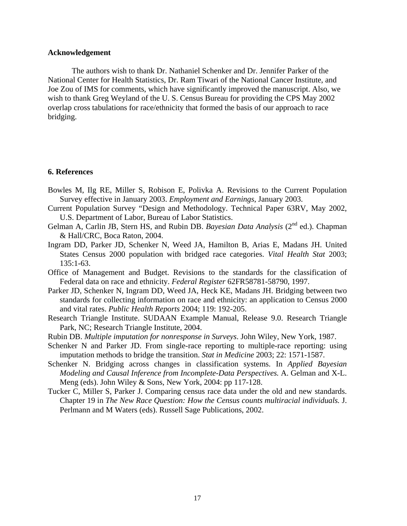#### **Acknowledgement**

 The authors wish to thank Dr. Nathaniel Schenker and Dr. Jennifer Parker of the National Center for Health Statistics, Dr. Ram Tiwari of the National Cancer Institute, and Joe Zou of IMS for comments, which have significantly improved the manuscript. Also, we wish to thank Greg Weyland of the U. S. Census Bureau for providing the CPS May 2002 overlap cross tabulations for race/ethnicity that formed the basis of our approach to race bridging.

## **6. References**

- Bowles M, Ilg RE, Miller S, Robison E, Polivka A. Revisions to the Current Population Survey effective in January 2003. *Employment and Earnings*, January 2003.
- Current Population Survey "Design and Methodology. Technical Paper 63RV, May 2002, U.S. Department of Labor, Bureau of Labor Statistics.
- Gelman A, Carlin JB, Stern HS, and Rubin DB. *Bayesian Data Analysis* (2<sup>nd</sup> ed.). Chapman & Hall/CRC, Boca Raton, 2004.
- Ingram DD, Parker JD, Schenker N, Weed JA, Hamilton B, Arias E, Madans JH. United States Census 2000 population with bridged race categories. *Vital Health Stat* 2003; 135:1-63.
- Office of Management and Budget. Revisions to the standards for the classification of Federal data on race and ethnicity. *Federal Register* 62FR58781-58790, 1997.
- Parker JD, Schenker N, Ingram DD, Weed JA, Heck KE, Madans JH. Bridging between two standards for collecting information on race and ethnicity: an application to Census 2000 and vital rates. *Public Health Reports* 2004; 119: 192-205.
- Research Triangle Institute. SUDAAN Example Manual, Release 9.0. Research Triangle Park, NC; Research Triangle Institute, 2004.
- Rubin DB. *Multiple imputation for nonresponse in Surveys*. John Wiley, New York, 1987.
- Schenker N and Parker JD. From single-race reporting to multiple-race reporting: using imputation methods to bridge the transition. *Stat in Medicine* 2003; 22: 1571-1587.
- Schenker N. Bridging across changes in classification systems. In *Applied Bayesian Modeling and Causal Inference from Incomplete-Data Perspectives.* A. Gelman and X-L. Meng (eds). John Wiley & Sons, New York, 2004: pp 117-128.
- Tucker C, Miller S, Parker J. Comparing census race data under the old and new standards. Chapter 19 in *The New Race Question: How the Census counts multiracial individuals.* J. Perlmann and M Waters (eds). Russell Sage Publications, 2002.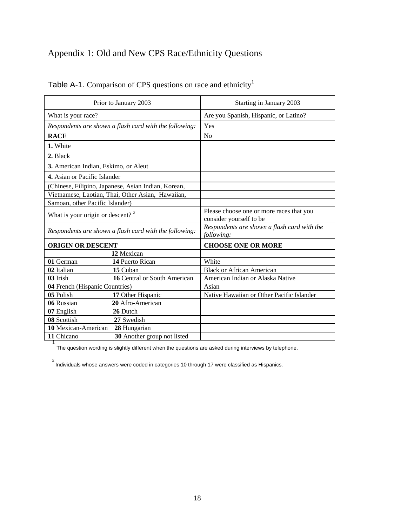# Appendix 1: Old and New CPS Race/Ethnicity Questions

|                                              | Prior to January 2003                                  | Starting in January 2003                                            |  |  |
|----------------------------------------------|--------------------------------------------------------|---------------------------------------------------------------------|--|--|
| What is your race?                           |                                                        | Are you Spanish, Hispanic, or Latino?                               |  |  |
|                                              | Respondents are shown a flash card with the following: | Yes                                                                 |  |  |
| <b>RACE</b>                                  |                                                        | No                                                                  |  |  |
| 1. White                                     |                                                        |                                                                     |  |  |
| 2. Black                                     |                                                        |                                                                     |  |  |
| 3. American Indian, Eskimo, or Aleut         |                                                        |                                                                     |  |  |
| 4. Asian or Pacific Islander                 |                                                        |                                                                     |  |  |
|                                              | (Chinese, Filipino, Japanese, Asian Indian, Korean,    |                                                                     |  |  |
|                                              | Vietnamese, Laotian, Thai, Other Asian, Hawaiian,      |                                                                     |  |  |
| Samoan, other Pacific Islander)              |                                                        |                                                                     |  |  |
| What is your origin or descent? <sup>2</sup> |                                                        | Please choose one or more races that you<br>consider yourself to be |  |  |
|                                              | Respondents are shown a flash card with the following: | Respondents are shown a flash card with the<br>following:           |  |  |
| <b>ORIGIN OR DESCENT</b>                     |                                                        | <b>CHOOSE ONE OR MORE</b>                                           |  |  |
|                                              | 12 Mexican                                             |                                                                     |  |  |
| 01 German                                    | 14 Puerto Rican                                        | White                                                               |  |  |
| 02 Italian                                   | 15 Cuban                                               | <b>Black or African American</b>                                    |  |  |
| 03 Irish                                     | 16 Central or South American                           | American Indian or Alaska Native                                    |  |  |
| 04 French (Hispanic Countries)               |                                                        | Asian                                                               |  |  |
| 05 Polish                                    | 17 Other Hispanic                                      | Native Hawaiian or Other Pacific Islander                           |  |  |
| 06 Russian                                   | 20 Afro-American                                       |                                                                     |  |  |
| 07 English                                   | 26 Dutch                                               |                                                                     |  |  |
| 08 Scottish                                  | 27 Swedish                                             |                                                                     |  |  |
| 10 Mexican-American                          | 28 Hungarian                                           |                                                                     |  |  |
| 11 Chicano                                   | 30 Another group not listed                            |                                                                     |  |  |

Table A-1. Comparison of CPS questions on race and ethnicity<sup>1</sup>

The question wording is slightly different when the questions are asked during interviews by telephone.

2 Individuals whose answers were coded in categories 10 through 17 were classified as Hispanics.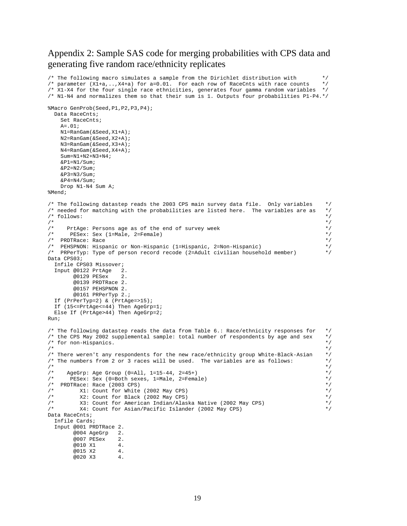## Appendix 2: Sample SAS code for merging probabilities with CPS data and generating five random race/ethnicity replicates

```
/* The following macro simulates a sample from the Dirichlet distribution with \frac{*}{}<br>/* parameter (X1+a,..,X4+a) for a=0.01. For each row of RaceCnts with race counts \frac{*}{}/* parameter (X1+a,..,X4+a) for a=0.01. For each row of RaceCnts with race counts \frac{\ast}{\ell}<br>/* X1-X4 for the four single race ethnicities, generates four gamma random variables \frac{\ast}{\ell}/* X1-X4 for the four single race ethnicities, generates four gamma random variables */ 
/* N1-N4 and normalizes them so that their sum is 1. Outputs four probabilities P1-P4.*/ 
%Macro GenProb(Seed,P1,P2,P3,P4); 
   Data RaceCnts; 
      Set RaceCnts; 
      A=.01; 
      N1=RanGam(&Seed,X1+A); 
      N2=RanGam(&Seed,X2+A); 
      N3=RanGam(&Seed,X3+A); 
      N4=RanGam(&Seed,X4+A); 
      Sum=N1+N2+N3+N4; 
     \&P1=N1/Sum;&P2=N2/Sum;&P3=NA/Sium;&P4=N4/Sum; Drop N1-N4 Sum A; 
%Mend; 
/* The following datastep reads the 2003 CPS main survey data file. Only variables */ 
/* needed for matching with the probabilities are listed here. The variables are as
y^* follows:<br>/y^*\frac{1}{\sqrt{2}} , the set of the set of the set of the set of the set of the set of the set of the set of the set of the set of the set of the set of the set of the set of the set of the set of the set of the set of the set 
/* PrtAge: Persons age as of the end of survey week<br>/* PESex: Sex (1=Male 2=Female)
         PESex: Sex (1=Male, 2=Female)
/* PRDTRace: Race
/* PEHSPNON: Hispanic or Non-Hispanic (1=Hispanic, 2=Non-Hispanic) */ 
/* PRPerTyp: Type of person record recode (2=Adult civilian household member) */ 
Data CPS03; 
   Infile CPS03 Missover; 
   Input @0122 PrtAge 2. 
           @0129 PESex 2. 
           @0139 PRDTRace 2. 
           @0157 PEHSPNON 2. 
           @0161 PRPerTyp 2.; 
   If (PrPerTyp=2) & (PrtAge=>15); 
   If (15<=PrtAge<=44) Then AgeGrp=1; 
   Else If (PrtAge>44) Then AgeGrp=2; 
Run; 
/* The following datastep reads the data from Table 6.: Race/ethnicity responses for */ 
/* the CPS May 2002 supplemental sample: total number of respondents by age and sex */ 
/* for non-Hispanics.<br>/*
\frac{1}{\sqrt{2}} , the set of the set of the set of the set of the set of the set of the set of the set of the set of the set of the set of the set of the set of the set of the set of the set of the set of the set of the set 
/* There weren't any respondents for the new race/ethnicity group White-Black-Asian */ 
/* The numbers from 2 or 3 races will be used. The variables are as follows: */ 
\frac{1}{\sqrt{2}} , the set of the set of the set of the set of the set of the set of the set of the set of the set of the set of the set of the set of the set of the set of the set of the set of the set of the set of the set 
\frac{1}{4} AgeGrp: Age Group (0=All, 1=15-44, 2=45+)<br>\frac{1}{4} PESex: Sex (0=Both sexes, 1=Male, 2=Fema
/* PESex: Sex (0=Both sexes, 1=Male, 2=Female)<br>/* PRDTRace: Race (2003 CPS)
/* PRDTRace: Race (2003 CPS) */ 
/* X1: Count for White (2002 May CPS) */ 
/* X2: Count for Black (2002 May CPS) */ 
/* X3: Count for American Indian/Alaska Native (2002 May CPS) */ 
             X4: Count for Asian/Pacific Islander (2002 May CPS)
Data RaceCnts; 
   Infile Cards; 
   Input @001 PRDTRace 2. 
           @004 AgeGrp 2. 
           @007 PESex 2. 
          @010 X1 4.
          @015 X2 4.
           @020 X3 4.
```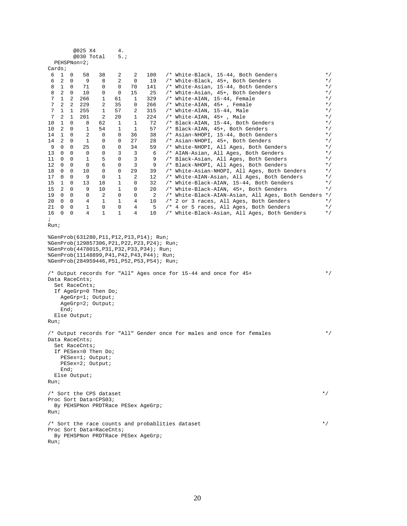|                                                                                                                                                                                                                                                                                                                                                                                |                   |                  | @025 X4                                         |                                                                | 4.           |              |           |                                                                                                 |                |
|--------------------------------------------------------------------------------------------------------------------------------------------------------------------------------------------------------------------------------------------------------------------------------------------------------------------------------------------------------------------------------|-------------------|------------------|-------------------------------------------------|----------------------------------------------------------------|--------------|--------------|-----------|-------------------------------------------------------------------------------------------------|----------------|
|                                                                                                                                                                                                                                                                                                                                                                                |                   |                  | @030 Total                                      |                                                                | 5.7          |              |           |                                                                                                 |                |
|                                                                                                                                                                                                                                                                                                                                                                                |                   |                  | PEHSPNon=2;                                     |                                                                |              |              |           |                                                                                                 |                |
| Cards;                                                                                                                                                                                                                                                                                                                                                                         |                   |                  |                                                 |                                                                |              |              |           |                                                                                                 |                |
| 6                                                                                                                                                                                                                                                                                                                                                                              | $\mathbf{1}$      | $\overline{0}$   | 58                                              | 38                                                             | 2            | 2            | 100       | /* White-Black, 15-44, Both Genders                                                             | $*$ /          |
| 6<br>8                                                                                                                                                                                                                                                                                                                                                                         | 2<br>1            | 0<br>$\mathbf 0$ | 9<br>71                                         | 8<br>0                                                         | 2<br>0       | 0<br>70      | 19        | /* White-Black, 45+, Both Genders                                                               | $*$ /          |
| 8                                                                                                                                                                                                                                                                                                                                                                              | 2                 | $\mathbf{0}$     | 10                                              | 0                                                              | 0            | 15           | 141<br>25 | /* White-Asian, 15-44, Both Genders<br>/* White-Asian, 45+, Both Genders                        | $*$ /<br>$*$ / |
| 7                                                                                                                                                                                                                                                                                                                                                                              | $\mathbf{1}$      | 2                | 266                                             | $\mathbf{1}$                                                   | 61           | 1            | 329       | /* White-AIAN, 15-44, Female                                                                    | $*$ /          |
| 7                                                                                                                                                                                                                                                                                                                                                                              | 2                 | 2                | 229                                             | 2                                                              | 35           | 0            | 266       | /* White-AIAN, 45+, Female                                                                      | $*$ /          |
| 7                                                                                                                                                                                                                                                                                                                                                                              | 1                 | $\mathbf{1}$     | 255                                             | $\mathbf{1}$                                                   | 57           | 2            | 315       | /* White-AIAN, 15-44, Male                                                                      | $*$ /          |
| 7                                                                                                                                                                                                                                                                                                                                                                              | 2                 | 1                | 201                                             | 2                                                              | 20           | 1            | 224       | /* White-AIAN, 45+, Male                                                                        | $*$ /          |
| 10                                                                                                                                                                                                                                                                                                                                                                             | 1                 | 0                | 8                                               | 62                                                             | 1            | $\mathbf{1}$ | 72        | /* Black-AIAN, 15-44, Both Genders                                                              | $*$ /          |
| 10                                                                                                                                                                                                                                                                                                                                                                             | 2                 | 0                | 1                                               | 54                                                             | 1            | 1            | 57        | /* Black-AIAN, 45+, Both Genders                                                                | $*$ /          |
| 14                                                                                                                                                                                                                                                                                                                                                                             | $\mathbf{1}$      | 0                | 2                                               | 0                                                              | 0            | 36           | 38        | /* Asian-NHOPI, 15-44, Both Genders                                                             | $*$ /          |
| 14                                                                                                                                                                                                                                                                                                                                                                             | 2                 | 0                | 1                                               | 0                                                              | 0            | 27           | 28        | /* Asian-NHOPI, 45+, Both Genders                                                               | $*$ /          |
| 9                                                                                                                                                                                                                                                                                                                                                                              | 0                 | 0                | 25                                              | 0                                                              | 0            | 34           | 59        | /* White-NHOPI, All Ages, Both Genders                                                          | $*$ /          |
| 13                                                                                                                                                                                                                                                                                                                                                                             | 0                 | 0                | 0                                               | 0                                                              | 3            | 3            | 6         | /* AIAN-Asian, All Ages, Both Genders                                                           | $*$ /          |
| 11                                                                                                                                                                                                                                                                                                                                                                             | 0                 | 0                | 1                                               | 5                                                              | 0            | 3            | 9         | /* Black-Asian, All Ages, Both Genders                                                          | $*$ /          |
| 12                                                                                                                                                                                                                                                                                                                                                                             | 0                 | 0                | 0                                               | 6                                                              | 0            | 3            | 9         | /* Black-NHOPI, All Ages, Both Genders                                                          | $*$ /          |
| 18                                                                                                                                                                                                                                                                                                                                                                             | 0                 | 0                | 10                                              | 0                                                              | 0            | 29           | 39        | /* White-Asian-NHOPI, All Ages, Both Genders                                                    | $*$ /          |
| 17                                                                                                                                                                                                                                                                                                                                                                             | 0                 | 0                | 9                                               | 0                                                              | 1            | 2            | 12        | /* White-AIAN-Asian, All Ages, Both Genders                                                     | $*$ /          |
| 15                                                                                                                                                                                                                                                                                                                                                                             | 1                 | 0                | 13                                              | 18                                                             | 1            | 0            | 32        | /* White-Black-AIAN, 15-44, Both Genders                                                        | $*$ /          |
| 15<br>19                                                                                                                                                                                                                                                                                                                                                                       | 2<br>$\mathbf{0}$ | 0<br>$\mathbf 0$ | 9<br>0                                          | 10<br>2                                                        | 1<br>0       | 0<br>0       | 20<br>-2  | /* White-Black-AIAN, 45+, Both Genders                                                          | $*$ /          |
| 20                                                                                                                                                                                                                                                                                                                                                                             | 0                 | 0                | 4                                               | 1                                                              | 1            | 4            | 10        | /* White-Black-AIAN-Asian, All Ages, Both Genders */<br>/* 2 or 3 races, All Ages, Both Genders | $*$ /          |
| 21                                                                                                                                                                                                                                                                                                                                                                             | 0                 | 0                | 1                                               | 0                                                              | 0            | 4            | -5        | /* 4 or 5 races, All Ages, Both Genders                                                         | $*$ /          |
| 16                                                                                                                                                                                                                                                                                                                                                                             | 0                 | 0                | 4                                               | 1                                                              | $\mathbf{1}$ | 4            | 10        | /* White-Black-Asian, All Ages, Both Genders                                                    | $*$ /          |
| $\ddot{ }$                                                                                                                                                                                                                                                                                                                                                                     |                   |                  |                                                 |                                                                |              |              |           |                                                                                                 |                |
| Run;                                                                                                                                                                                                                                                                                                                                                                           |                   |                  |                                                 |                                                                |              |              |           |                                                                                                 |                |
| %GenProb(129857306, P21, P22, P23, P24); Run;<br>%GenProb(4478015, P31, P32, P33, P34); Run;<br>%GenProb(11148899, P41, P42, P43, P44); Run;<br>%GenProb(284959446, P51, P52, P53, P54); Run;<br>/* Output records for "All" Ages once for 15-44 and once for 45+<br>Data RaceCnts;<br>Set RaceCnts;<br>If AgeGrp=0 Then Do;<br>AgeGrp=1; Output;<br>AgeGrp=2; Output;<br>End; |                   |                  |                                                 |                                                                |              |              |           |                                                                                                 | $\star$ /      |
| Run;                                                                                                                                                                                                                                                                                                                                                                           |                   |                  | Else Output;                                    |                                                                |              |              |           |                                                                                                 |                |
| Run;                                                                                                                                                                                                                                                                                                                                                                           | End;              |                  | Data RaceCnts;<br>Set RaceCnts;<br>Else Output; | If PESex=0 Then Do;<br>PESex=1; Output;<br>PESex=2; Output;    |              |              |           | /* Output records for "All" Gender once for males and once for females                          | $\star$ /      |
| /* Sort the CPS dataset<br>Proc Sort Data=CPS03;<br>By PEHSPNon PRDTRace PESex AgeGrp;<br>Run;                                                                                                                                                                                                                                                                                 |                   |                  |                                                 |                                                                |              |              |           |                                                                                                 | $*$ /          |
| Run;                                                                                                                                                                                                                                                                                                                                                                           |                   |                  |                                                 | Proc Sort Data=RaceCnts;<br>By PEHSPNon PRDTRace PESex AgeGrp; |              |              |           | /* Sort the race counts and probablities dataset                                                | $*$ /          |